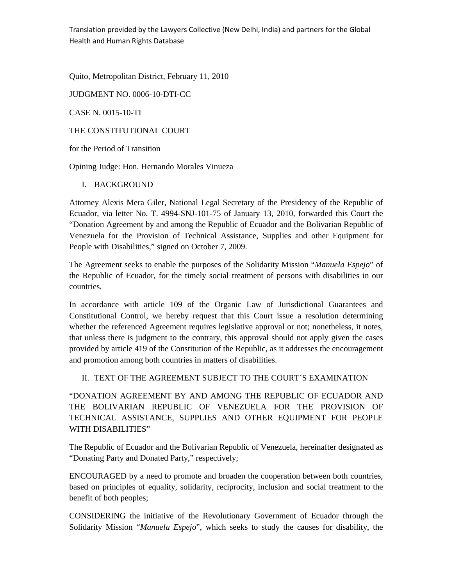Translation provided by the Lawyers Collective (New Delhi, India) and partners for the Global Health and Human Rights Database

Quito, Metropolitan District, February 11, 2010

JUDGMENT NO. 0006-10-DTI-CC

CASE N. 0015-10-TI

THE CONSTITUTIONAL COURT

for the Period of Transition

Opining Judge: Hon. Hernando Morales Vinueza

I. BACKGROUND

Attorney Alexis Mera Giler, National Legal Secretary of the Presidency of the Republic of Ecuador, via letter No. T. 4994-SNJ-101-75 of January 13, 2010, forwarded this Court the "Donation Agreement by and among the Republic of Ecuador and the Bolivarian Republic of Venezuela for the Provision of Technical Assistance, Supplies and other Equipment for People with Disabilities," signed on October 7, 2009.

The Agreement seeks to enable the purposes of the Solidarity Mission "*Manuela Espejo*" of the Republic of Ecuador, for the timely social treatment of persons with disabilities in our countries.

In accordance with article 109 of the Organic Law of Jurisdictional Guarantees and Constitutional Control, we hereby request that this Court issue a resolution determining whether the referenced Agreement requires legislative approval or not; nonetheless, it notes, that unless there is judgment to the contrary, this approval should not apply given the cases provided by article 419 of the Constitution of the Republic, as it addresses the encouragement and promotion among both countries in matters of disabilities.

II. TEXT OF THE AGREEMENT SUBJECT TO THE COURT´S EXAMINATION

"DONATION AGREEMENT BY AND AMONG THE REPUBLIC OF ECUADOR AND THE BOLIVARIAN REPUBLIC OF VENEZUELA FOR THE PROVISION OF TECHNICAL ASSISTANCE, SUPPLIES AND OTHER EQUIPMENT FOR PEOPLE WITH DISABILITIES"

The Republic of Ecuador and the Bolivarian Republic of Venezuela, hereinafter designated as "Donating Party and Donated Party," respectively;

ENCOURAGED by a need to promote and broaden the cooperation between both countries, based on principles of equality, solidarity, reciprocity, inclusion and social treatment to the benefit of both peoples;

CONSIDERING the initiative of the Revolutionary Government of Ecuador through the Solidarity Mission "*Manuela Espejo*", which seeks to study the causes for disability, the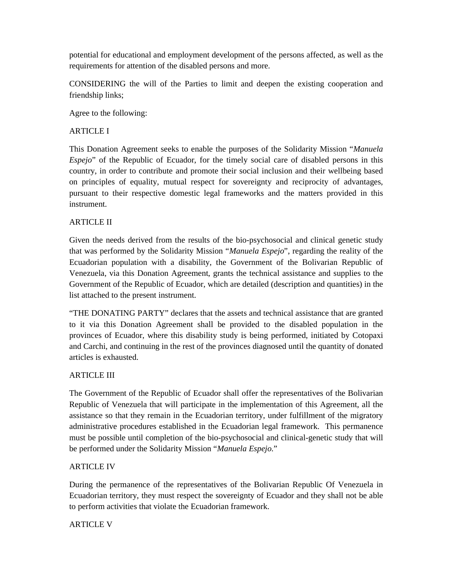potential for educational and employment development of the persons affected, as well as the requirements for attention of the disabled persons and more.

CONSIDERING the will of the Parties to limit and deepen the existing cooperation and friendship links;

Agree to the following:

#### ARTICLE I

This Donation Agreement seeks to enable the purposes of the Solidarity Mission "*Manuela Espejo*" of the Republic of Ecuador, for the timely social care of disabled persons in this country, in order to contribute and promote their social inclusion and their wellbeing based on principles of equality, mutual respect for sovereignty and reciprocity of advantages, pursuant to their respective domestic legal frameworks and the matters provided in this instrument.

#### ARTICLE II

Given the needs derived from the results of the bio-psychosocial and clinical genetic study that was performed by the Solidarity Mission "*Manuela Espejo*", regarding the reality of the Ecuadorian population with a disability, the Government of the Bolivarian Republic of Venezuela, via this Donation Agreement, grants the technical assistance and supplies to the Government of the Republic of Ecuador, which are detailed (description and quantities) in the list attached to the present instrument.

"THE DONATING PARTY" declares that the assets and technical assistance that are granted to it via this Donation Agreement shall be provided to the disabled population in the provinces of Ecuador, where this disability study is being performed, initiated by Cotopaxi and Carchi, and continuing in the rest of the provinces diagnosed until the quantity of donated articles is exhausted.

#### ARTICLE III

The Government of the Republic of Ecuador shall offer the representatives of the Bolivarian Republic of Venezuela that will participate in the implementation of this Agreement, all the assistance so that they remain in the Ecuadorian territory, under fulfillment of the migratory administrative procedures established in the Ecuadorian legal framework. This permanence must be possible until completion of the bio-psychosocial and clinical-genetic study that will be performed under the Solidarity Mission "*Manuela Espejo*."

#### ARTICLE IV

During the permanence of the representatives of the Bolivarian Republic Of Venezuela in Ecuadorian territory, they must respect the sovereignty of Ecuador and they shall not be able to perform activities that violate the Ecuadorian framework.

## **ARTICLE V**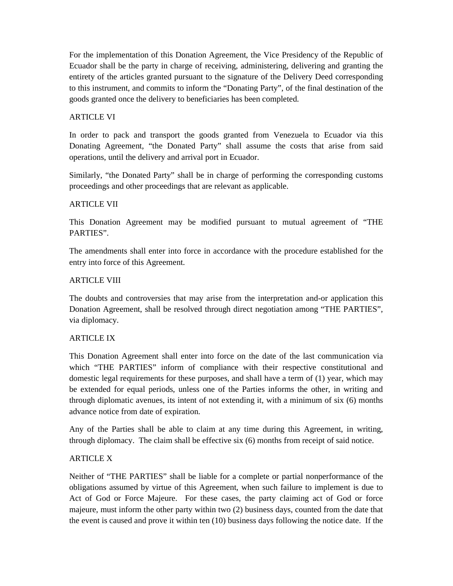For the implementation of this Donation Agreement, the Vice Presidency of the Republic of Ecuador shall be the party in charge of receiving, administering, delivering and granting the entirety of the articles granted pursuant to the signature of the Delivery Deed corresponding to this instrument, and commits to inform the "Donating Party", of the final destination of the goods granted once the delivery to beneficiaries has been completed.

## ARTICLE VI

In order to pack and transport the goods granted from Venezuela to Ecuador via this Donating Agreement, "the Donated Party" shall assume the costs that arise from said operations, until the delivery and arrival port in Ecuador.

Similarly, "the Donated Party" shall be in charge of performing the corresponding customs proceedings and other proceedings that are relevant as applicable.

## ARTICLE VII

This Donation Agreement may be modified pursuant to mutual agreement of "THE PARTIES".

The amendments shall enter into force in accordance with the procedure established for the entry into force of this Agreement.

## ARTICLE VIII

The doubts and controversies that may arise from the interpretation and-or application this Donation Agreement, shall be resolved through direct negotiation among "THE PARTIES", via diplomacy.

## ARTICLE IX

This Donation Agreement shall enter into force on the date of the last communication via which "THE PARTIES" inform of compliance with their respective constitutional and domestic legal requirements for these purposes, and shall have a term of (1) year, which may be extended for equal periods, unless one of the Parties informs the other, in writing and through diplomatic avenues, its intent of not extending it, with a minimum of six (6) months advance notice from date of expiration.

Any of the Parties shall be able to claim at any time during this Agreement, in writing, through diplomacy. The claim shall be effective six (6) months from receipt of said notice.

## ARTICLE X

Neither of "THE PARTIES" shall be liable for a complete or partial nonperformance of the obligations assumed by virtue of this Agreement, when such failure to implement is due to Act of God or Force Majeure. For these cases, the party claiming act of God or force majeure, must inform the other party within two (2) business days, counted from the date that the event is caused and prove it within ten (10) business days following the notice date. If the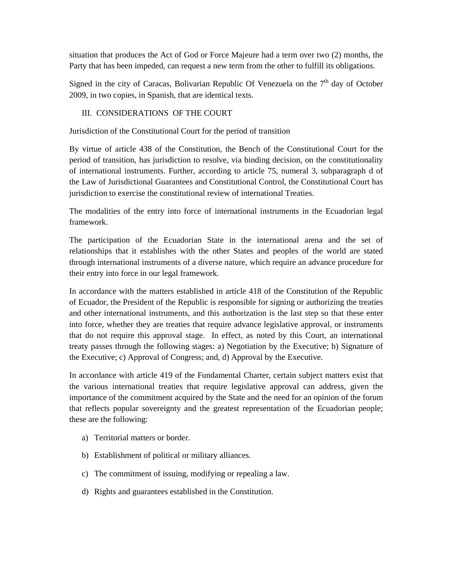situation that produces the Act of God or Force Majeure had a term over two (2) months, the Party that has been impeded, can request a new term from the other to fulfill its obligations.

Signed in the city of Caracas, Bolivarian Republic Of Venezuela on the  $7<sup>th</sup>$  day of October 2009, in two copies, in Spanish, that are identical texts.

#### III. CONSIDERATIONS OF THE COURT

Jurisdiction of the Constitutional Court for the period of transition

By virtue of article 438 of the Constitution, the Bench of the Constitutional Court for the period of transition, has jurisdiction to resolve, via binding decision, on the constitutionality of international instruments. Further, according to article 75, numeral 3, subparagraph d of the Law of Jurisdictional Guarantees and Constitutional Control, the Constitutional Court has jurisdiction to exercise the constitutional review of international Treaties.

The modalities of the entry into force of international instruments in the Ecuadorian legal framework.

The participation of the Ecuadorian State in the international arena and the set of relationships that it establishes with the other States and peoples of the world are stated through international instruments of a diverse nature, which require an advance procedure for their entry into force in our legal framework.

In accordance with the matters established in article 418 of the Constitution of the Republic of Ecuador, the President of the Republic is responsible for signing or authorizing the treaties and other international instruments, and this authorization is the last step so that these enter into force, whether they are treaties that require advance legislative approval, or instruments that do not require this approval stage. In effect, as noted by this Court, an international treaty passes through the following stages: a) Negotiation by the Executive; b) Signature of the Executive; c) Approval of Congress; and, d) Approval by the Executive.

In accordance with article 419 of the Fundamental Charter, certain subject matters exist that the various international treaties that require legislative approval can address, given the importance of the commitment acquired by the State and the need for an opinion of the forum that reflects popular sovereignty and the greatest representation of the Ecuadorian people; these are the following:

- a) Territorial matters or border.
- b) Establishment of political or military alliances.
- c) The commitment of issuing, modifying or repealing a law.
- d) Rights and guarantees established in the Constitution.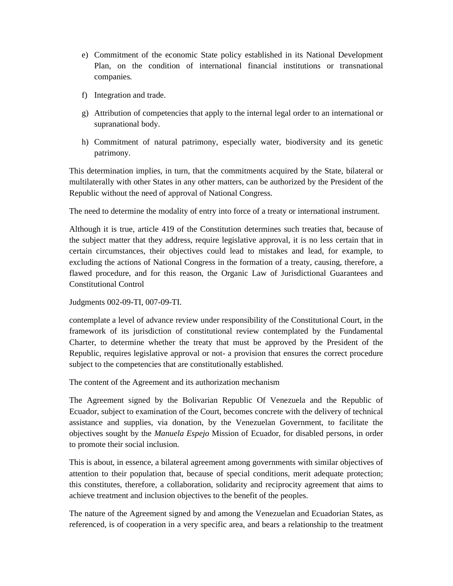- e) Commitment of the economic State policy established in its National Development Plan, on the condition of international financial institutions or transnational companies.
- f) Integration and trade.
- g) Attribution of competencies that apply to the internal legal order to an international or supranational body.
- h) Commitment of natural patrimony, especially water, biodiversity and its genetic patrimony.

This determination implies, in turn, that the commitments acquired by the State, bilateral or multilaterally with other States in any other matters, can be authorized by the President of the Republic without the need of approval of National Congress.

The need to determine the modality of entry into force of a treaty or international instrument.

Although it is true, article 419 of the Constitution determines such treaties that, because of the subject matter that they address, require legislative approval, it is no less certain that in certain circumstances, their objectives could lead to mistakes and lead, for example, to excluding the actions of National Congress in the formation of a treaty, causing, therefore, a flawed procedure, and for this reason, the Organic Law of Jurisdictional Guarantees and Constitutional Control

Judgments 002-09-TI, 007-09-TI.

contemplate a level of advance review under responsibility of the Constitutional Court, in the framework of its jurisdiction of constitutional review contemplated by the Fundamental Charter, to determine whether the treaty that must be approved by the President of the Republic, requires legislative approval or not- a provision that ensures the correct procedure subject to the competencies that are constitutionally established.

The content of the Agreement and its authorization mechanism

The Agreement signed by the Bolivarian Republic Of Venezuela and the Republic of Ecuador, subject to examination of the Court, becomes concrete with the delivery of technical assistance and supplies, via donation, by the Venezuelan Government, to facilitate the objectives sought by the *Manuela Espejo* Mission of Ecuador, for disabled persons, in order to promote their social inclusion.

This is about, in essence, a bilateral agreement among governments with similar objectives of attention to their population that, because of special conditions, merit adequate protection; this constitutes, therefore, a collaboration, solidarity and reciprocity agreement that aims to achieve treatment and inclusion objectives to the benefit of the peoples.

The nature of the Agreement signed by and among the Venezuelan and Ecuadorian States, as referenced, is of cooperation in a very specific area, and bears a relationship to the treatment